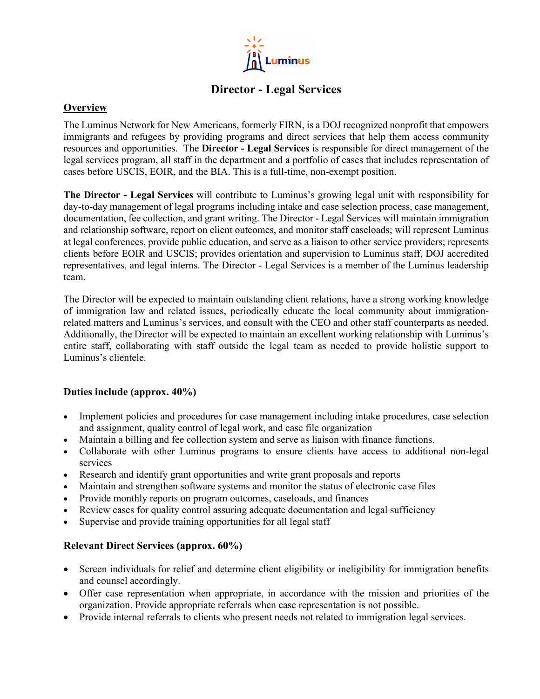

# **Director - Legal Services**

### **Overview**

The Luminus Network for New Americans, formerly FIRN, is a DOJ recognized nonprofit that empowers immigrants and refugees by providing programs and direct services that help them access community resources and opportunities. The **Director - Legal Services** is responsible for direct management of the legal services program, all staff in the department and a portfolio of cases that includes representation of cases before USCIS, EOIR, and the BIA. This is a full-time, non-exempt position.

**The Director - Legal Services** will contribute to Luminus's growing legal unit with responsibility for day-to-day management of legal programs including intake and case selection process, case management, documentation, fee collection, and grant writing. The Director - Legal Services will maintain immigration and relationship software, report on client outcomes, and monitor staff caseloads; will represent Luminus at legal conferences, provide public education, and serve as a liaison to other service providers; represents clients before EOIR and USCIS; provides orientation and supervision to Luminus staff, DOJ accredited representatives, and legal interns. The Director - Legal Services is a member of the Luminus leadership team.

The Director will be expected to maintain outstanding client relations, have a strong working knowledge of immigration law and related issues, periodically educate the local community about immigrationrelated matters and Luminus's services, and consult with the CEO and other staff counterparts as needed. Additionally, the Director will be expected to maintain an excellent working relationship with Luminus's entire staff, collaborating with staff outside the legal team as needed to provide holistic support to Luminus's clientele.

#### **Duties include (approx. 40%)**

- Implement policies and procedures for case management including intake procedures, case selection and assignment, quality control of legal work, and case file organization
- Maintain a billing and fee collection system and serve as liaison with finance functions.
- Collaborate with other Luminus programs to ensure clients have access to additional non-legal services
- Research and identify grant opportunities and write grant proposals and reports
- Maintain and strengthen software systems and monitor the status of electronic case files
- Provide monthly reports on program outcomes, caseloads, and finances
- Review cases for quality control assuring adequate documentation and legal sufficiency
- Supervise and provide training opportunities for all legal staff

## **Relevant Direct Services (approx. 60%)**

- Screen individuals for relief and determine client eligibility or ineligibility for immigration benefits and counsel accordingly.
- Offer case representation when appropriate, in accordance with the mission and priorities of the organization. Provide appropriate referrals when case representation is not possible.
- Provide internal referrals to clients who present needs not related to immigration legal services.